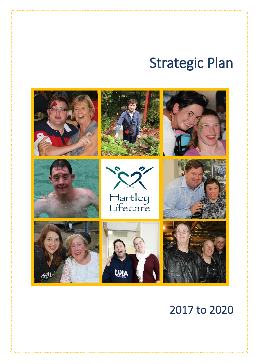# Strategic Plan



## 2017 to 2020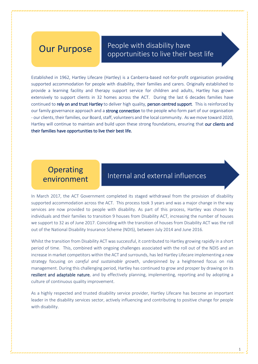## People with disability have **Our Purpose** People with disability have<br>opportunities to live their best life

Established in 1962, Hartley Lifecare (Hartley) is a Canberra-based not-for-profit organisation providing supported accommodation for people with disability, their families and carers. Originally established to provide a learning facility and therapy support service for children and adults, Hartley has grown extensively to support clients in 32 homes across the ACT. During the last 6 decades families have continued to rely on and trust Hartley to deliver high quality, person centred support. This is reinforced by our family governance approach and a strong connection to the people who form part of our organisation - our clients, their families, our Board, staff, volunteers and the local community. As we move toward 2020, Hartley will continue to maintain and build upon these strong foundations, ensuring that our clients and their families have opportunities to live their best life.

## **Operating** environment

## • Internal and external influences

In March 2017, the ACT Government completed its staged withdrawal from the provision of disability supported accommodation across the ACT. This process took 3 years and was a major change in the way services are now provided to people with disability. As part of this process, Hartley was chosen by individuals and their families to transition 9 houses from Disability ACT, increasing the number of houses we support to 32 as of June 2017. Coinciding with the transition of houses from Disability ACT was the roll out of the National Disability Insurance Scheme (NDIS), between July 2014 and June 2016.

Whilst the transition from Disability ACT was successful, it contributed to Hartley growing rapidly in a short period of time. This, combined with ongoing challenges associated with the roll out of the NDIS and an increase in market competitors within the ACT and surrounds, has led Hartley Lifecare implementing a new strategy focusing on *careful and sustainable growth*, underpinned by a heightened focus on risk management. During this challenging period, Hartley has continued to grow and prosper by drawing on its resilient and adaptable nature, and by effectively planning, implementing, reporting and by adopting a culture of continuous quality improvement.

As a highly respected and trusted disability service provider, Hartley Lifecare has become an important leader in the disability services sector, actively influencing and contributing to positive change for people with disability.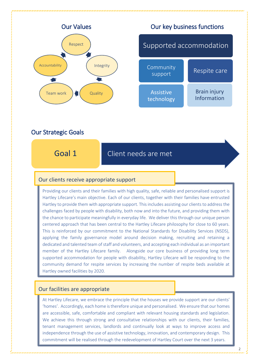

### Our Strategic Goals

## Goal 1 **• Client needs are met**

#### Our clients receive appropriate support

Providing our clients and their families with high quality, safe, reliable and personalised support is Hartley Lifecare's main objective. Each of our clients, together with their families have entrusted Hartley to provide them with appropriate support. This includes assisting our clients to address the challenges faced by people with disability, both now and into the future, and providing them with the chance to participate meaningfully in everyday life. We deliver this through our unique person centered approach that has been central to the Hartley Lifecare philosophy for close to 60 years. This is reinforced by our commitment to the National Standards for Disability Services (NSDS), applying the family governance model around decision making, recruiting and retaining a dedicated and talented team of staff and volunteers, and accepting each individual as an important member of the Hartley Lifecare family. Alongside our core business of providing long term supported accommodation for people with disability, Hartley Lifecare will be responding to the community demand for respite services by increasing the number of respite beds available at Hartley owned facilities by 2020.

#### Our facilities are appropriate

At Hartley Lifecare, we embrace the principle that the houses we provide support are our clients' 'homes'. Accordingly, each home is therefore unique and personalised. We ensure that our homes are accessible, safe, comfortable and compliant with relevant housing standards and legislation. We achieve this through strong and consultative relationships with our clients, their families, tenant management services, landlords and continually look at ways to improve access and independence through the use of assistive technology, innovation, and contemporary design. This commitment will be realised through the redevelopment of Hartley Court over the next 3 years.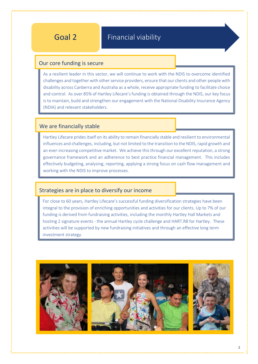## Goal 2 **• Financial viability**

#### Our core funding is secure

As a resilient leader in this sector, we will continue to work with the NDIS to overcome identified challenges and together with other service providers, ensure that our clients and other people with disability across Canberra and Australia as a whole, receive appropriate funding to facilitate choice and control. As over 85% of Hartley Lifecare's funding is obtained through the NDIS, our key focus is to maintain, build and strengthen our engagement with the National Disability Insurance Agency (NDIA) and relevant stakeholders.

#### We are financially stable

Hartley Lifecare prides itself on its ability to remain financially stable and resilient to environmental influences and challenges, including, but not limited to the transition to the NDIS, rapid growth and an ever-increasing competitive market. We achieve this through our excellent reputation, a strong governance framework and an adherence to best practice financial management. This includes effectively budgeting, analysing, reporting, applying a strong focus on cash flow management and working with the NDIS to improve processes.

#### Strategies are in place to diversify our income

For close to 60 years, Hartley Lifecare's successful funding diversification strategies have been integral to the provision of enriching opportunities and activities for our clients. Up to 7% of our funding is derived from fundraising activities, including the monthly Hartley Hall Markets and hosting 2 signature events - the annual Hartley cycle challenge and HART.R8 for Hartley. These activities will be supported by new fundraising initiatives and through an effective long term investment strategy.

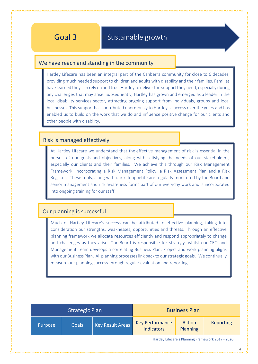## Goal 3 **• Sustainable growth**

#### We have reach and standing in the community

Hartley Lifecare has been an integral part of the Canberra community for close to 6 decades, providing much needed support to children and adults with disability and their families. Families have learned they can rely on and trust Hartley to deliver the support they need, especially during any challenges that may arise. Subsequently, Hartley has grown and emerged as a leader in the local disability services sector, attracting ongoing support from individuals, groups and local businesses. This support has contributed enormously to Hartley's success over the years and has enabled us to build on the work that we do and influence positive change for our clients and other people with disability.

#### Risk is managed effectively

At Hartley Lifecare we understand that the effective management of risk is essential in the pursuit of our goals and objectives, along with satisfying the needs of our stakeholders, especially our clients and their families. We achieve this through our Risk Management Framework, incorporating a Risk Management Policy, a Risk Assessment Plan and a Risk Register. These tools, along with our risk appetite are regularly monitored by the Board and senior management and risk awareness forms part of our everyday work and is incorporated into ongoing training for our staff.

#### Our planning is successful

Much of Hartley Lifecare's success can be attributed to effective planning, taking into consideration our strengths, weaknesses, opportunities and threats. Through an effective planning framework we allocate resources efficiently and respond appropriately to change and challenges as they arise. Our Board is responsible for strategy, whilst our CEO and Management Team develops a correlating Business Plan. Project and work planning aligns with our Business Plan. All planning processes link back to our strategic goals. We continually measure our planning success through regular evaluation and reporting.

| <b>Strategic Plan</b> |              |                         | <b>Business Plan</b>                        |                    |           |
|-----------------------|--------------|-------------------------|---------------------------------------------|--------------------|-----------|
| Purpose               | <b>Goals</b> | <b>Key Result Areas</b> | <b>Key Performance</b><br><b>Indicators</b> | Action<br>Planning | Reporting |

Hartley Lifecare's Planning Framework 2017 - 2020